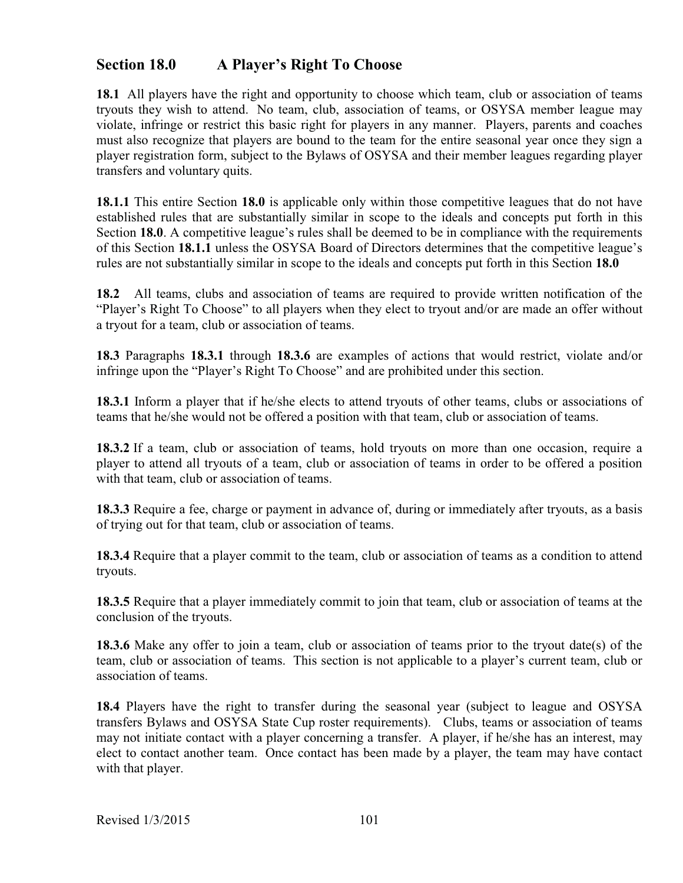## Section 18.0 **Section 18.0 A Player's Right To Choose**

**18.1** All players have the right and opportunity to choose which team, club or association of teams tryouts they wish to attend. No team, club, association of teams, or OSYSA member league may violate, infringe or restrict this basic right for players in any manner. Players, parents and coaches must also recognize that players are bound to the team for the entire seasonal year once they sign a player registration form, subject to the Bylaws of OSYSA and their member leagues regarding player transfers and voluntary quits.

**18.1.1** This entire Section **18.0** is applicable only within those competitive leagues that do not have established rules that are substantially similar in scope to the ideals and concepts put forth in this Section **18.0**. A competitive league's rules shall be deemed to be in compliance with the requirements of this Section **18.1.1** unless the OSYSA Board of Directors determines that the competitive league's rules are not substantially similar in scope to the ideals and concepts put forth in this Section **18.0**

**18.2** All teams, clubs and association of teams are required to provide written notification of the "Player's Right To Choose" to all players when they elect to tryout and/or are made an offer without a tryout for a team, club or association of teams.

**18.3** Paragraphs **18.3.1** through **18.3.6** are examples of actions that would restrict, violate and/or infringe upon the "Player's Right To Choose" and are prohibited under this section.

**18.3.1** Inform a player that if he/she elects to attend tryouts of other teams, clubs or associations of teams that he/she would not be offered a position with that team, club or association of teams.

**18.3.2** If a team, club or association of teams, hold tryouts on more than one occasion, require a player to attend all tryouts of a team, club or association of teams in order to be offered a position with that team, club or association of teams.

**18.3.3** Require a fee, charge or payment in advance of, during or immediately after tryouts, as a basis of trying out for that team, club or association of teams.

**18.3.4** Require that a player commit to the team, club or association of teams as a condition to attend tryouts.

**18.3.5** Require that a player immediately commit to join that team, club or association of teams at the conclusion of the tryouts.

**18.3.6** Make any offer to join a team, club or association of teams prior to the tryout date(s) of the team, club or association of teams. This section is not applicable to a player's current team, club or association of teams.

**18.4** Players have the right to transfer during the seasonal year (subject to league and OSYSA transfers Bylaws and OSYSA State Cup roster requirements). Clubs, teams or association of teams may not initiate contact with a player concerning a transfer. A player, if he/she has an interest, may elect to contact another team. Once contact has been made by a player, the team may have contact with that player.